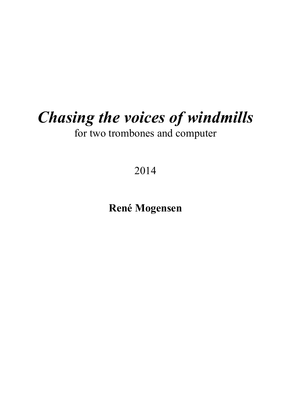# *Chasing the voices of windmills*

## for two trombones and computer

2014

**René Mogensen**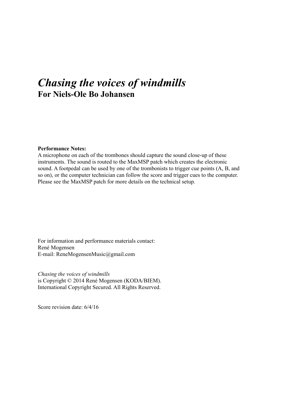### *Chasing the voices of windmills* **For Niels-Ole Bo Johansen**

#### **Performance Notes:**

A microphone on each of the trombones should capture the sound close-up of these instruments. The sound is routed to the MaxMSP patch which creates the electronic sound. A footpedal can be used by one of the trombonists to trigger cue points (A, B, and so on), or the computer technician can follow the score and trigger cues to the computer. Please see the MaxMSP patch for more details on the technical setup.

For information and performance materials contact: René Mogensen E-mail: ReneMogensenMusic@gmail.com

*Chasing the voices of windmills* is Copyright © 2014 René Mogensen (KODA/BIEM). International Copyright Secured. All Rights Reserved.

Score revision date: 6/4/16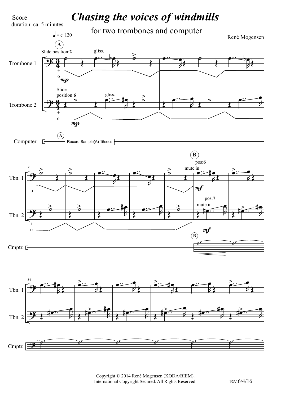#### $\overline{\mathbf{9}}$ <u>.</u>  $\frac{3}{4}$ <u>ទ្</u>  $\frac{3}{4}$ r<br>**၃** Trombone 1 Trombone 2  $\circ$ position:6<br>**B**  $= c. 120$ **A A** Slide Slide position:**2** +  $^\mathrm{o}$ m $\bm{p}$ + o  $mp$  $\stackrel{\cdots}{\bullet}$  $\overline{\mathbf{e}}$  $\overline{\blacklozenge}$ gliss.<br>  $\bullet$  :  $\bullet$  :  $\bullet$  :  $\bullet$  :  $\bullet$  :  $\bullet$  :  $\bullet$  :  $\bullet$  :  $\bullet$  :  $\bullet$  :  $\bullet$  :  $\bullet$  :  $\bullet$  :  $\bullet$  :  $\bullet$  :  $\bullet$  :  $\bullet$  :  $\bullet$  :  $\bullet$  :  $\bullet$  :  $\bullet$  :  $\bullet$  :  $\bullet$  :  $\bullet$  :  $\bullet$  :  $\bullet$  :  $\bullet$  :  $\bullet$  :  $\bullet$  :  $\bullet$  :  $\bullet$ #œ gliss. gliss.  $\geq$ )<br>0  $\overline{\blacklozenge}$  $\begin{matrix} \searrow \\ \searrow \\ \searrow \end{matrix}$ )<br>0 œ. . <sup>R</sup> œŒ  $\begin{array}{ccc} & & \bullet & \cdots \\ \hline \bullet & & \bullet & \end{array}$ œ  $\overrightarrow{e}$  $\begin{array}{c} \bullet \\ \bullet \\ \bullet \end{array}$  $\frac{\cdot}{\cdot}$  $\frac{b}{\sqrt{2}}$  $\begin{matrix} \bullet & \cdots & \bullet \\ \bullet & \bullet & \end{matrix}$ œ *Chasing the voices of windmills* René Mogensen Score for two trombones and computer duration: ca. 5 minutes



Record Sample(A) 15secs

Computer



Copyright © 2014 René Mogensen (KODA/BIEM). International Copyright Secured. All Rights Reserved.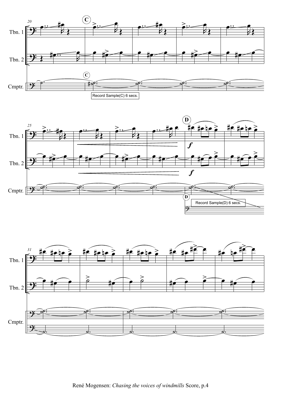





René Mogensen: *Chasing the voices of windmills* Score, p.4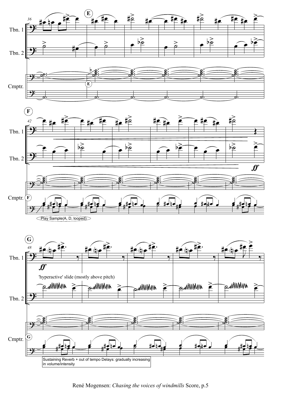

René Mogensen: *Chasing the voices of windmills* Score, p.5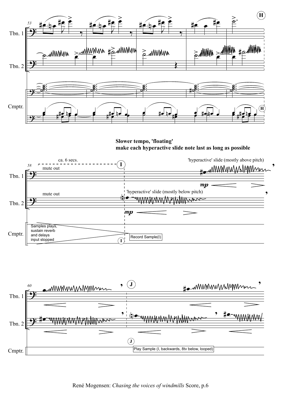

**Slower tempo, 'floating' make each hyperactive slide note last as long as possible**



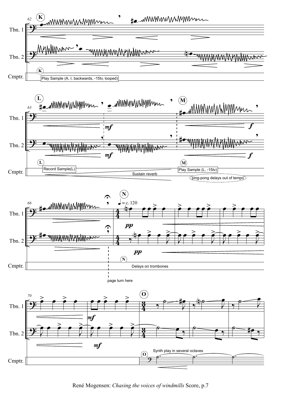

René Mogensen: *Chasing the voices of windmills* Score, p.7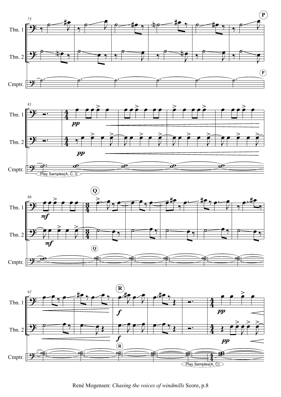







René Mogensen: *Chasing the voices of windmills* Score, p.8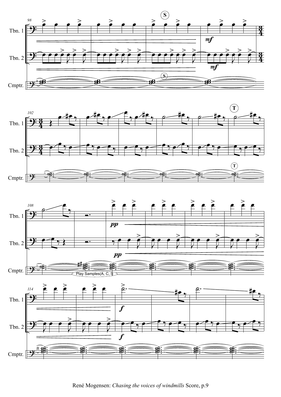





René Mogensen: *Chasing the voices of windmills* Score, p.9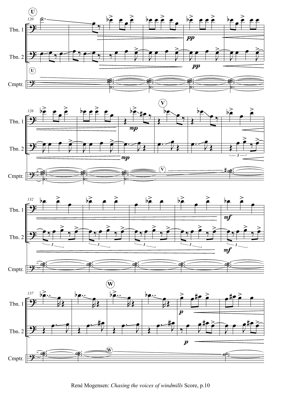







René Mogensen: *Chasing the voices of windmills* Score, p.10